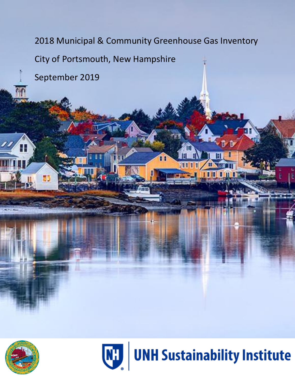2018 Municipal & Community Greenhouse Gas Inventory City of Portsmouth, New Hampshire September 2019





le ma

Ш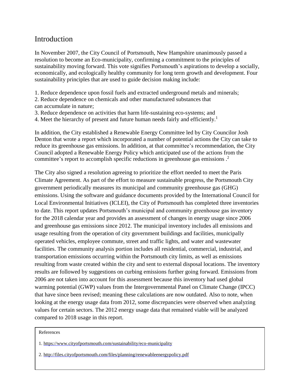# **Introduction**

In November 2007, the City Council of Portsmouth, New Hampshire unanimously passed a resolution to become an Eco-municipality, confirming a commitment to the principles of sustainability moving forward. This vote signifies Portsmouth's aspirations to develop a socially, economically, and ecologically healthy community for long term growth and development. Four sustainability principles that are used to guide decision making include:

1. Reduce dependence upon fossil fuels and extracted underground metals and minerals;

2. Reduce dependence on chemicals and other manufactured substances that can accumulate in nature;

3. Reduce dependence on activities that harm life-sustaining eco-systems; and

4. Meet the hierarchy of present and future human needs fairly and efficiently.<sup>1</sup>

In addition, the City established a Renewable Energy Committee led by City Councilor Josh Denton that wrote a report which incorporated a number of potential actions the City can take to reduce its greenhouse gas emissions. In addition, at that committee's recommendation, the City Council adopted a Renewable Energy Policy which anticipated use of the actions from the committee's report to accomplish specific reductions in greenhouse gas emissions . 2

The City also signed a resolution agreeing to prioritize the effort needed to meet the Paris Climate Agreement. As part of the effort to measure sustainable progress, the Portsmouth City government periodically measures its municipal and community greenhouse gas (GHG) emissions. Using the software and guidance documents provided by the International Council for Local Environmental Initiatives (ICLEI), the City of Portsmouth has completed three inventories to date. This report updates Portsmouth's municipal and community greenhouse gas inventory for the 2018 calendar year and provides an assessment of changes in energy usage since 2006 and greenhouse gas emissions since 2012. The municipal inventory includes all emissions and usage resulting from the operation of city government buildings and facilities, municipally operated vehicles, employee commute, street and traffic lights, and water and wastewater facilities. The community analysis portion includes all residential, commercial, industrial, and transportation emissions occurring within the Portsmouth city limits, as well as emissions resulting from waste created within the city and sent to external disposal locations. The inventory results are followed by suggestions on curbing emissions further going forward. Emissions from 2006 are not taken into account for this assessment because this inventory had used global warming potential (GWP) values from the Intergovernmental Panel on Climate Change (IPCC) that have since been revised; meaning these calculations are now outdated. Also to note, when looking at the energy usage data from 2012, some discrepancies were observed when analyzing values for certain sectors. The 2012 energy usage data that remained viable will be analyzed compared to 2018 usage in this report.

#### References

1.<https://www.cityofportsmouth.com/sustainability/eco-municipality>

2 2.<http://files.cityofportsmouth.com/files/planning/renewableenergypolicy.pdf>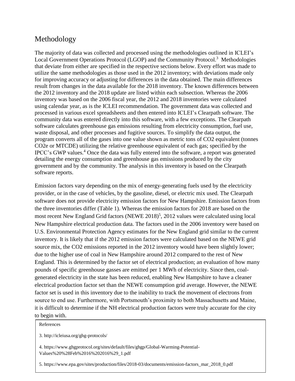# Methodology

The majority of data was collected and processed using the methodologies outlined in ICLEI's Local Government Operations Protocol (LGOP) and the Community Protocol.<sup>3</sup> Methodologies that deviate from either are specified in the respective sections below. Every effort was made to utilize the same methodologies as those used in the 2012 inventory; with deviations made only for improving accuracy or adjusting for differences in the data obtained. The main differences result from changes in the data available for the 2018 inventory. The known differences between the 2012 inventory and the 2018 update are listed within each subsection. Whereas the 2006 inventory was based on the 2006 fiscal year, the 2012 and 2018 inventories were calculated using calendar year, as is the ICLEI recommendation. The government data was collected and processed in various excel spreadsheets and then entered into ICLEI's Clearpath software. The community data was entered directly into this software, with a few exceptions. The Clearpath software calculates greenhouse gas emissions resulting from electricity consumption, fuel use, waste disposal, and other processes and fugitive sources. To simplify the data output, the program converts all of the gases into one value shown as metric tons of CO2 equivalent (tonnes CO2e or MTCDE) utilizing the relative greenhouse equivalent of each gas; specified by the IPCC's GWP values.<sup>4</sup> Once the data was fully entered into the software, a report was generated detailing the energy consumption and greenhouse gas emissions produced by the city government and by the community. The analysis in this inventory is based on the Clearpath software reports.

Emission factors vary depending on the mix of energy-generating fuels used by the electricity provider, or in the case of vehicles, by the gasoline, diesel, or electric mix used. The Clearpath software does not provide electricity emission factors for New Hampshire. Emission factors from the three inventories differ (Table 1). Whereas the emission factors for 2018 are based on the most recent New England Grid factors (NEWE 2018)<sup>5</sup>, 2012 values were calculated using local New Hampshire electrical production data. The factors used in the 2006 inventory were based on U.S. Environmental Protection Agency estimates for the New England grid similar to the current inventory. It is likely that if the 2012 emission factors were calculated based on the NEWE grid source mix, the CO2 emissions reported in the 2012 inventory would have been slightly lower; due to the higher use of coal in New Hampshire around 2012 compared to the rest of New England. This is determined by the factor set of electrical production; an evaluation of how many pounds of specific greenhouse gasses are emitted per 1 MWh of electricity. Since then, coalgenerated electricity in the state has been reduced, enabling New Hampshire to have a cleaner electrical production factor set than the NEWE consumption grid average. However, the NEWE factor set is used in this inventory due to the inability to track the movement of electrons from source to end use. Furthermore, with Portsmouth's proximity to both Massachusetts and Maine, it is difficult to determine if the NH electrical production factors were truly accurate for the city to begin with.

References

3. http://icleiusa.org/ghg-protocols/

4. [https://www.ghgprotocol.org/sites/default/files/ghgp/Global-Warming-Potential-](https://www.ghgprotocol.org/sites/default/files/ghgp/Global-Warming-Potential-Values%2520%2528Feb%252016%25202016%2529_1.pdf)[Values%20%28Feb%2016%202016%29\\_1.pdf](https://www.ghgprotocol.org/sites/default/files/ghgp/Global-Warming-Potential-Values%2520%2528Feb%252016%25202016%2529_1.pdf)

5. [https://www.epa.gov/sites/production/files/2018-03/documents/emission-factors\\_mar\\_2018\\_0.pdf](https://www.epa.gov/sites/production/files/2018-03/documents/emission-factors_mar_2018_0.pdf)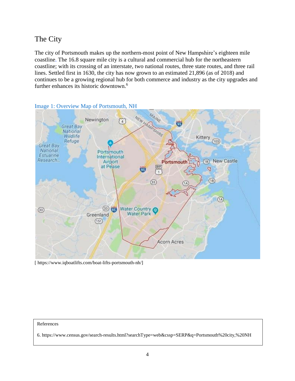# The City

The city of Portsmouth makes up the northern-most point of New Hampshire's eighteen mile coastline. The 16.8 square mile city is a cultural and commercial hub for the northeastern coastline; with its crossing of an interstate, two national routes, three state routes, and three rail lines. Settled first in 1630, the city has now grown to an estimated 21,896 (as of 2018) and continues to be a growing regional hub for both commerce and industry as the city upgrades and further enhances its historic downtown.<sup>6</sup>



### Image 1: Overview Map of Portsmouth, NH

[ [https://www.iqboatlifts.com/boat-lifts-portsmouth-nh/\]](https://www.iqboatlifts.com/boat-lifts-portsmouth-nh/)

#### References

6. [https://www.census.gov/search-results.html?searchType=web&cssp=SERP&q=Portsmouth%20city,%20NH](https://www.census.gov/search-results.html?searchType=web&cssp=SERP&q=Portsmouth%2520city,%2520NH)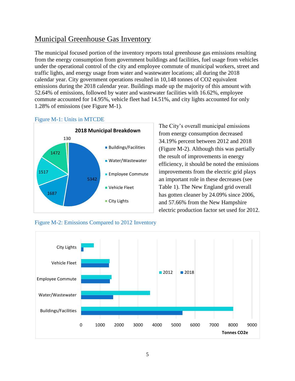# Municipal Greenhouse Gas Inventory

The municipal focused portion of the inventory reports total greenhouse gas emissions resulting from the energy consumption from government buildings and facilities, fuel usage from vehicles under the operational control of the city and employee commute of municipal workers, street and traffic lights, and energy usage from water and wastewater locations; all during the 2018 calendar year. City government operations resulted in 10,148 tonnes of CO2 equivalent emissions during the 2018 calendar year. Buildings made up the majority of this amount with 52.64% of emissions, followed by water and wastewater facilities with 16.62%, employee commute accounted for 14.95%, vehicle fleet had 14.51%, and city lights accounted for only 1.28% of emissions (see Figure M-1).

## Figure M-1: Units in MTCDE



Figure M-2: Emissions Compared to 2012 Inventory

The City's overall municipal emissions from energy consumption decreased 34.19% percent between 2012 and 2018 (Figure M-2). Although this was partially the result of improvements in energy efficiency, it should be noted the emissions improvements from the electric grid plays an important role in these decreases (see Table 1). The New England grid overall has gotten cleaner by 24.09% since 2006, and 57.66% from the New Hampshire electric production factor set used for 2012.



5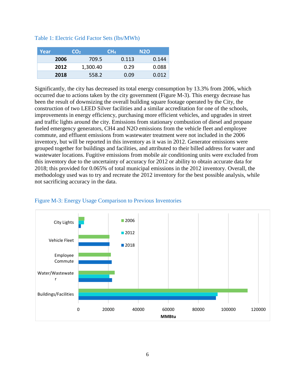| Table 1: Electric Grid Factor Sets (lbs/MWh) |  |  |  |
|----------------------------------------------|--|--|--|
|----------------------------------------------|--|--|--|

| Year |      | CO <sub>2</sub> | CH <sub>4</sub> | N <sub>2</sub> O |
|------|------|-----------------|-----------------|------------------|
|      | 2006 | 709.5           | 0.113           | 0.144            |
|      | 2012 | 1,300.40        | 0.29            | 0.088            |
|      | 2018 | 558.2           | 0.09            | 0.012            |

Significantly, the city has decreased its total energy consumption by 13.3% from 2006, which occurred due to actions taken by the city government (Figure M-3). This energy decrease has been the result of downsizing the overall building square footage operated by the City, the construction of two LEED Silver facilities and a similar accreditation for one of the schools, improvements in energy efficiency, purchasing more efficient vehicles, and upgrades in street and traffic lights around the city. Emissions from stationary combustion of diesel and propane fueled emergency generators, CH4 and N2O emissions from the vehicle fleet and employee commute, and effluent emissions from wastewater treatment were not included in the 2006 inventory, but will be reported in this inventory as it was in 2012. Generator emissions were grouped together for buildings and facilities, and attributed to their billed address for water and wastewater locations. Fugitive emissions from mobile air conditioning units were excluded from this inventory due to the uncertainty of accuracy for 2012 or ability to obtain accurate data for 2018; this provided for 0.065% of total municipal emissions in the 2012 inventory. Overall, the methodology used was to try and recreate the 2012 inventory for the best possible analysis, while not sacrificing accuracy in the data.



## Figure M-3: Energy Usage Comparison to Previous Inventories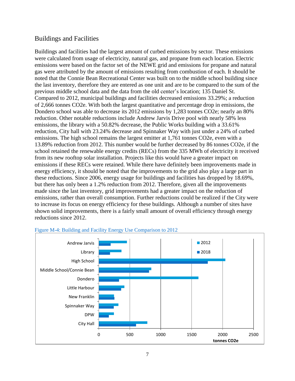# Buildings and Facilities

Buildings and facilities had the largest amount of curbed emissions by sector. These emissions were calculated from usage of electricity, natural gas, and propane from each location. Electric emissions were based on the factor set of the NEWE grid and emissions for propane and natural gas were attributed by the amount of emissions resulting from combustion of each. It should be noted that the Connie Bean Recreational Center was built on to the middle school building since the last inventory, therefore they are entered as one unit and are to be compared to the sum of the previous middle school data and the data from the old center's location; 135 Daniel St. Compared to 2012, municipal buildings and facilities decreased emissions 33.29%; a reduction of 2,666 tonnes CO2e. With both the largest quantitative and percentage drop in emissions, the Dondero school was able to decrease its 2012 emissions by 1,283 tonnes CO2e; nearly an 80% reduction. Other notable reductions include Andrew Jarvis Drive pool with nearly 58% less emissions, the library with a 50.82% decrease, the Public Works building with a 33.61% reduction, City hall with 23.24% decrease and Spinnaker Way with just under a 24% of curbed emissions. The high school remains the largest emitter at 1,761 tonnes CO2e, even with a 13.89% reduction from 2012. This number would be further decreased by 86 tonnes CO2e, if the school retained the renewable energy credits (RECs) from the 335 MWh of electricity it received from its new rooftop solar installation. Projects like this would have a greater impact on emissions if these RECs were retained. While there have definitely been improvements made in energy efficiency, it should be noted that the improvements to the grid also play a large part in these reductions. Since 2006, energy usage for buildings and facilities has dropped by 18.69%, but there has only been a 1.2% reduction from 2012. Therefore, given all the improvements made since the last inventory, grid improvements had a greater impact on the reduction of emissions, rather than overall consumption. Further reductions could be realized if the City were to increase its focus on energy efficiency for these buildings. Although a number of sites have shown solid improvements, there is a fairly small amount of overall efficiency through energy reductions since 2012.



#### Figure M-4: Building and Facility Energy Use Comparison to 2012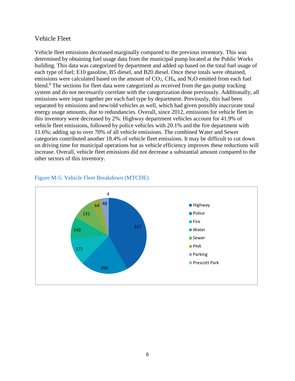## Vehicle Fleet

Vehicle fleet emissions decreased marginally compared to the previous inventory. This was determined by obtaining fuel usage data from the municipal pump located at the Public Works building. This data was categorized by department and added up based on the total fuel usage of each type of fuel; E10 gasoline, B5 diesel, and B20 diesel. Once these totals were obtained, emissions were calculated based on the amount of  $CO<sub>2</sub>$ , CH<sub>4</sub>, and N<sub>2</sub>O emitted from each fuel blend.<sup>6</sup> The sections for fleet data were categorized as received from the gas pump tracking system and do not necessarily correlate with the categorization done previously. Additionally, all emissions were input together per each fuel type by department. Previously, this had been separated by emissions and new/old vehicles as well, which had given possibly inaccurate total energy usage amounts, due to redundancies. Overall, since 2012, emissions for vehicle fleet in this inventory were decreased by 2%. Highway department vehicles account for 41.9% of vehicle fleet emissions, followed by police vehicles with 20.1% and the fire department with 11.6%; adding up to over 70% of all vehicle emissions. The combined Water and Sewer categories contributed another 18.4% of vehicle fleet emissions. It may be difficult to cut down on driving time for municipal operations but as vehicle efficiency improves these reductions will increase. Overall, vehicle fleet emissions did not decrease a substantial amount compared to the other sectors of this inventory.



### Figure M-5: Vehicle Fleet Breakdown (MTCDE)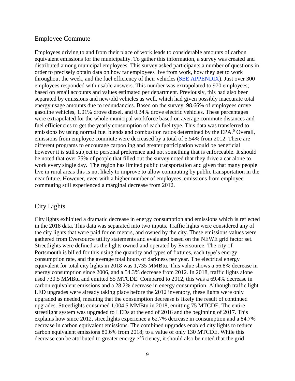## Employee Commute

Employees driving to and from their place of work leads to considerable amounts of carbon equivalent emissions for the municipality. To gather this information, a survey was created and distributed among municipal employees. This survey asked participants a number of questions in order to precisely obtain data on how far employees live from work, how they get to work throughout the week, and the fuel efficiency of their vehicles (SEE APPENDIX). Just over 300 employees responded with usable answers. This number was extrapolated to 970 employees; based on email accounts and values estimated per department. Previously, this had also been separated by emissions and new/old vehicles as well, which had given possibly inaccurate total energy usage amounts due to redundancies. Based on the survey, 98.66% of employees drove gasoline vehicles, 1.01% drove diesel, and 0.34% drove electric vehicles. These percentages were extrapolated for the whole municipal workforce based on average commute distances and fuel efficiencies to get the yearly consumption of each fuel type. This data was transferred to emissions by using normal fuel blends and combustion ratios determined by the EPA.<sup>6</sup> Overall, emissions from employee commute were decreased by a total of 5.54% from 2012. There are different programs to encourage carpooling and greater participation would be beneficial however it is still subject to personal preference and not something that is enforceable. It should be noted that over 75% of people that filled out the survey noted that they drive a car alone to work every single day. The region has limited public transportation and given that many people live in rural areas this is not likely to improve to allow commuting by public transportation in the near future. However, even with a higher number of employees, emissions from employee commuting still experienced a marginal decrease from 2012.

# City Lights

City lights exhibited a dramatic decrease in energy consumption and emissions which is reflected in the 2018 data. This data was separated into two inputs. Traffic lights were considered any of the city lights that were paid for on meters, and owned by the city. These emissions values were gathered from Eversource utility statements and evaluated based on the NEWE grid factor set. Streetlights were defined as the lights owned and operated by Eversource. The city of Portsmouth is billed for this using the quantity and types of fixtures, each type's energy consumption rate, and the average total hours of darkness per year. The electrical energy equivalent for total city lights in 2018 was 1,735 MMBtu. This value shows a 56.8% decrease in energy consumption since 2006, and a 54.3% decrease from 2012. In 2018, traffic lights alone used 730.5 MMBtu and emitted 55 MTCDE. Compared to 2012, this was a 69.4% decrease in carbon equivalent emissions and a 28.2% decrease in energy consumption. Although traffic light LED upgrades were already taking place before the 2012 inventory, these lights were only upgraded as needed, meaning that the consumption decrease is likely the result of continued upgrades. Streetlights consumed 1,004.5 MMBtu in 2018, emitting 75 MTCDE. The entire streetlight system was upgraded to LEDs at the end of 2016 and the beginning of 2017. This explains how since 2012, streetlights experience a 62.7% decrease in consumption and a 84.7% decrease in carbon equivalent emissions. The combined upgrades enabled city lights to reduce carbon equivalent emissions 80.6% from 2018; to a value of only 130 MTCDE. While this decrease can be attributed to greater energy efficiency, it should also be noted that the grid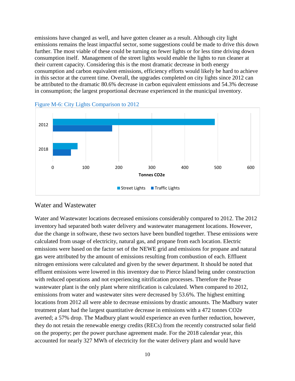emissions have changed as well, and have gotten cleaner as a result. Although city light emissions remains the least impactful sector, some suggestions could be made to drive this down further. The most viable of these could be turning on fewer lights or for less time driving down consumption itself. Management of the street lights would enable the lights to run cleaner at their current capacity. Considering this is the most dramatic decrease in both energy consumption and carbon equivalent emissions, efficiency efforts would likely be hard to achieve in this sector at the current time. Overall, the upgrades completed on city lights since 2012 can be attributed to the dramatic 80.6% decrease in carbon equivalent emissions and 54.3% decrease in consumption; the largest proportional decrease experienced in the municipal inventory.



Figure M-6: City Lights Comparison to 2012

### Water and Wastewater

Water and Wastewater locations decreased emissions considerably compared to 2012. The 2012 inventory had separated both water delivery and wastewater management locations. However, due the change in software, these two sectors have been bundled together. These emissions were calculated from usage of electricity, natural gas, and propane from each location. Electric emissions were based on the factor set of the NEWE grid and emissions for propane and natural gas were attributed by the amount of emissions resulting from combustion of each. Effluent nitrogen emissions were calculated and given by the sewer department. It should be noted that effluent emissions were lowered in this inventory due to Pierce Island being under construction with reduced operations and not experiencing nitrification processes. Therefore the Pease wastewater plant is the only plant where nitrification is calculated. When compared to 2012, emissions from water and wastewater sites were decreased by 53.6%. The highest emitting locations from 2012 all were able to decrease emissions by drastic amounts. The Madbury water treatment plant had the largest quantitative decrease in emissions with a 472 tonnes CO2e averted; a 57% drop. The Madbury plant would experience an even further reduction, however, they do not retain the renewable energy credits (RECs) from the recently constructed solar field on the property; per the power purchase agreement made. For the 2018 calendar year, this accounted for nearly 327 MWh of electricity for the water delivery plant and would have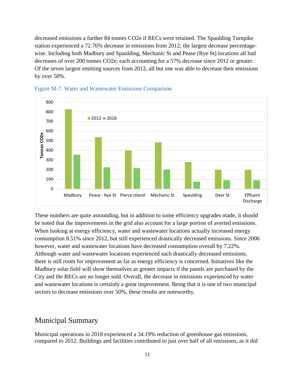decreased emissions a further 84 tonnes CO2e if RECs were retained. The Spaulding Turnpike station experienced a 72.76% decrease in emissions from 2012; the largest decrease percentagewise. Including both Madbury and Spaulding, Mechanic St and Pease (Rye St) locations all had decreases of over 200 tonnes CO2e; each accounting for a 57% decrease since 2012 or greater. Of the seven largest emitting sources from 2012, all but one was able to decrease their emissions by over 50%.





These numbers are quite astounding, but in addition to some efficiency upgrades made, it should be noted that the improvements in the grid also account for a large portion of averted emissions. When looking at energy efficiency, water and wastewater locations actually increased energy consumption 8.51% since 2012, but still experienced drastically decreased emissions. Since 2006 however, water and wastewater locations have decreased consumption overall by 7.22%. Although water and wastewater locations experienced such drastically decreased emissions, there is still room for improvement as far as energy efficiency is concerned. Initiatives like the Madbury solar field will show themselves as greater impacts if the panels are purchased by the City and the RECs are no longer sold. Overall, the decrease in emissions experienced by water and wastewater locations is certainly a great improvement. Being that it is one of two municipal sectors to decrease emissions over 50%, these results are noteworthy.

# Municipal Summary

Municipal operations in 2018 experienced a 34.19% reduction of greenhouse gas emissions, compared to 2012. Buildings and facilities contributed to just over half of all emissions, as it did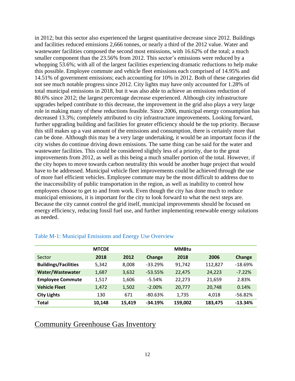in 2012; but this sector also experienced the largest quantitative decrease since 2012. Buildings and facilities reduced emissions 2,666 tonnes, or nearly a third of the 2012 value. Water and wastewater facilities composed the second most emissions, with 16.62% of the total; a much smaller component than the 23.56% from 2012. This sector's emissions were reduced by a whopping 53.6%; with all of the largest facilities experiencing dramatic reductions to help make this possible. Employee commute and vehicle fleet emissions each comprised of 14.95% and 14.51% of government emissions; each accounting for 10% in 2012. Both of these categories did not see much notable progress since 2012. City lights may have only accounted for 1.28% of total municipal emissions in 2018, but it was also able to achieve an emissions reduction of 80.6% since 2012; the largest percentage decrease experienced. Although city infrastructure upgrades helped contribute to this decrease, the improvement in the grid also plays a very large role in making many of these reductions feasible. Since 2006, municipal energy consumption has decreased 13.3%; completely attributed to city infrastructure improvements. Looking forward, further upgrading building and facilities for greater efficiency should be the top priority. Because this still makes up a vast amount of the emissions and consumption, there is certainly more that can be done. Although this may be a very large undertaking, it would be an important focus if the city wishes do continue driving down emissions. The same thing can be said for the water and wastewater facilities. This could be considered slightly less of a priority, due to the great improvements from 2012, as well as this being a much smaller portion of the total. However, if the city hopes to move towards carbon neutrality this would be another huge project that would have to be addressed. Municipal vehicle fleet improvements could be achieved through the use of more fuel efficient vehicles. Employee commute may be the most difficult to address due to the inaccessibility of public transportation in the region, as well as inability to control how employees choose to get to and from work. Even though the city has done much to reduce municipal emissions, it is important for the city to look forward to what the next steps are. Because the city cannot control the grid itself, municipal improvements should be focused on energy efficiency, reducing fossil fuel use, and further implementing renewable energy solutions as needed.

|                             | <b>MTCDE</b> |        |               | <b>MMBtu</b> |         |           |
|-----------------------------|--------------|--------|---------------|--------------|---------|-----------|
| Sector                      | 2018         | 2012   | <b>Change</b> | 2018         | 2006    | Change    |
| <b>Buildings/Facilities</b> | 5,342        | 8,008  | $-33.29%$     | 91,742       | 112,827 | $-18.69%$ |
| Water/Wastewater            | 1,687        | 3,632  | $-53.55%$     | 22,475       | 24,223  | $-7.22%$  |
| <b>Employee Commute</b>     | 1,517        | 1,606  | $-5.54%$      | 22,273       | 21,659  | 2.83%     |
| <b>Vehicle Fleet</b>        | 1,472        | 1,502  | $-2.00\%$     | 20,777       | 20,748  | 0.14%     |
| <b>City Lights</b>          | 130          | 671    | $-80.63%$     | 1,735        | 4,018   | $-56.82%$ |
| <b>Total</b>                | 10,148       | 15,419 | $-34.19%$     | 159,002      | 183,475 | $-13.34%$ |

#### Table M-1: Municipal Emissions and Energy Use Overview

# Community Greenhouse Gas Inventory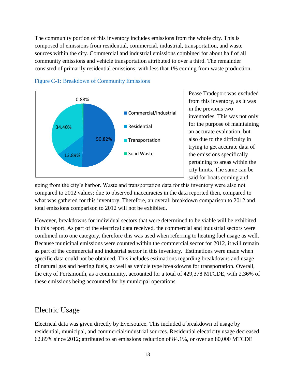The community portion of this inventory includes emissions from the whole city. This is composed of emissions from residential, commercial, industrial, transportation, and waste sources within the city. Commercial and industrial emissions combined for about half of all community emissions and vehicle transportation attributed to over a third. The remainder consisted of primarily residential emissions; with less that 1% coming from waste production.



Figure C-1: Breakdown of Community Emissions

Pease Tradeport was excluded from this inventory, as it was in the previous two inventories. This was not only for the purpose of maintaining an accurate evaluation, but also due to the difficulty in trying to get accurate data of the emissions specifically pertaining to areas within the city limits. The same can be said for boats coming and

going from the city's harbor. Waste and transportation data for this inventory were also not compared to 2012 values; due to observed inaccuracies in the data reported then, compared to what was gathered for this inventory. Therefore, an overall breakdown comparison to 2012 and total emissions comparison to 2012 will not be exhibited.

However, breakdowns for individual sectors that were determined to be viable will be exhibited in this report. As part of the electrical data received, the commercial and industrial sectors were combined into one category, therefore this was used when referring to heating fuel usage as well. Because municipal emissions were counted within the commercial sector for 2012, it will remain as part of the commercial and industrial sector in this inventory. Estimations were made when specific data could not be obtained. This includes estimations regarding breakdowns and usage of natural gas and heating fuels, as well as vehicle type breakdowns for transportation. Overall, the city of Portsmouth, as a community, accounted for a total of 429,378 MTCDE, with 2.36% of these emissions being accounted for by municipal operations.

# Electric Usage

Electrical data was given directly by Eversource. This included a breakdown of usage by residential, municipal, and commercial/industrial sources. Residential electricity usage decreased 62.89% since 2012; attributed to an emissions reduction of 84.1%, or over an 80,000 MTCDE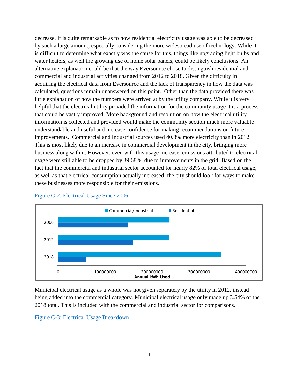decrease. It is quite remarkable as to how residential electricity usage was able to be decreased by such a large amount, especially considering the more widespread use of technology. While it is difficult to determine what exactly was the cause for this, things like upgrading light bulbs and water heaters, as well the growing use of home solar panels, could be likely conclusions. An alternative explanation could be that the way Eversource chose to distinguish residential and commercial and industrial activities changed from 2012 to 2018. Given the difficulty in acquiring the electrical data from Eversource and the lack of transparency in how the data was calculated, questions remain unanswered on this point. Other than the data provided there was little explanation of how the numbers were arrived at by the utility company. While it is very helpful that the electrical utility provided the information for the community usage it is a process that could be vastly improved. More background and resolution on how the electrical utility information is collected and provided would make the community section much more valuable understandable and useful and increase confidence for making recommendations on future improvements. Commercial and Industrial sources used 40.8% more electricity than in 2012. This is most likely due to an increase in commercial development in the city, bringing more business along with it. However, even with this usage increase, emissions attributed to electrical usage were still able to be dropped by 39.68%; due to improvements in the grid. Based on the fact that the commercial and industrial sector accounted for nearly 82% of total electrical usage, as well as that electrical consumption actually increased; the city should look for ways to make these businesses more responsible for their emissions.



### Figure C-2: Electrical Usage Since 2006

Municipal electrical usage as a whole was not given separately by the utility in 2012, instead being added into the commercial category. Municipal electrical usage only made up 3.54% of the 2018 total. This is included with the commercial and industrial sector for comparisons.

### Figure C-3: Electrical Usage Breakdown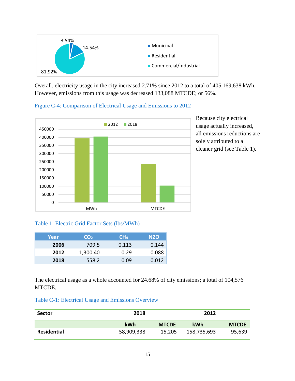

Overall, electricity usage in the city increased 2.71% since 2012 to a total of 405,169,638 kWh. However, emissions from this usage was decreased 133,088 MTCDE; or 56%.

Figure C-4: Comparison of Electrical Usage and Emissions to 2012



Because city electrical usage actually increased, all emissions reductions are solely attributed to a cleaner grid (see Table 1).

## Table 1: Electric Grid Factor Sets (lbs/MWh)

| Year | <b>CO<sub>2</sub></b> | CH <sub>4</sub> | N <sub>2</sub> O |
|------|-----------------------|-----------------|------------------|
| 2006 | 709.5                 | 0.113           | 0.144            |
| 2012 | 1,300.40              | 0.29            | 0.088            |
| 2018 | 558.2                 | 0.09            | 0.012            |

The electrical usage as a whole accounted for 24.68% of city emissions; a total of 104,576 MTCDE.

| Table C-1: Electrical Usage and Emissions Overview |  |  |
|----------------------------------------------------|--|--|
|                                                    |  |  |

| <b>Sector</b>      | 2018       |              | 2012        |              |
|--------------------|------------|--------------|-------------|--------------|
|                    | <b>kWh</b> | <b>MTCDE</b> | <b>kWh</b>  | <b>MTCDE</b> |
| <b>Residential</b> | 58,909,338 | 15,205       | 158,735,693 | 95,639       |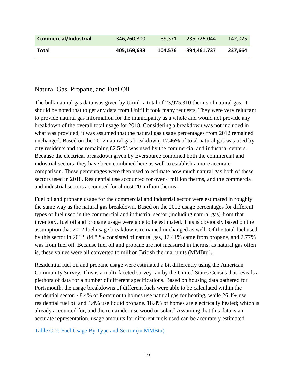| Commercial/Industrial | 346,260,300 | 89.371  | 235,726,044 | 142,025 |
|-----------------------|-------------|---------|-------------|---------|
| Total                 | 405,169,638 | 104.576 | 394,461,737 | 237,664 |

# Natural Gas, Propane, and Fuel Oil

The bulk natural gas data was given by Unitil; a total of 23,975,310 therms of natural gas. It should be noted that to get any data from Unitil it took many requests. They were very reluctant to provide natural gas information for the municipality as a whole and would not provide any breakdown of the overall total usage for 2018. Considering a breakdown was not included in what was provided, it was assumed that the natural gas usage percentages from 2012 remained unchanged. Based on the 2012 natural gas breakdown, 17.46% of total natural gas was used by city residents and the remaining 82.54% was used by the commercial and industrial centers. Because the electrical breakdown given by Eversource combined both the commercial and industrial sectors, they have been combined here as well to establish a more accurate comparison. These percentages were then used to estimate how much natural gas both of these sectors used in 2018. Residential use accounted for over 4 million therms, and the commercial and industrial sectors accounted for almost 20 million therms.

Fuel oil and propane usage for the commercial and industrial sector were estimated in roughly the same way as the natural gas breakdown. Based on the 2012 usage percentages for different types of fuel used in the commercial and industrial sector (including natural gas) from that inventory, fuel oil and propane usage were able to be estimated. This is obviously based on the assumption that 2012 fuel usage breakdowns remained unchanged as well. Of the total fuel used by this sector in 2012, 84.82% consisted of natural gas, 12.41% came from propane, and 2.77% was from fuel oil. Because fuel oil and propane are not measured in therms, as natural gas often is, these values were all converted to million British thermal units (MMBtu).

Residential fuel oil and propane usage were estimated a bit differently using the American Community Survey. This is a multi-faceted survey ran by the United States Census that reveals a plethora of data for a number of different specifications. Based on housing data gathered for Portsmouth, the usage breakdowns of different fuels were able to be calculated within the residential sector. 48.4% of Portsmouth homes use natural gas for heating, while 26.4% use residential fuel oil and 4.4% use liquid propane. 18.8% of homes are electrically heated; which is already accounted for, and the remainder use wood or solar.<sup>7</sup> Assuming that this data is an accurate representation, usage amounts for different fuels used can be accurately estimated.

Table C-2: Fuel Usage By Type and Sector (in MMBtu)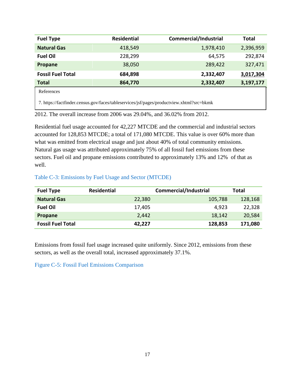| <b>Fuel Type</b>         | <b>Residential</b> | <b>Commercial/Industrial</b>                        | <b>Total</b> |
|--------------------------|--------------------|-----------------------------------------------------|--------------|
| <b>Natural Gas</b>       | 418,549            | 1,978,410                                           | 2,396,959    |
| <b>Fuel Oil</b>          | 228,299            | 64,575                                              | 292,874      |
| Propane                  | 38,050             | 289,422                                             | 327,471      |
| <b>Fossil Fuel Total</b> | 684,898            | 2,332,407                                           | 3,017,304    |
| <b>Total</b>             | 864,770            | 2,332,407                                           | 3,197,177    |
| References               |                    |                                                     |              |
| $-1.10.011$              |                    | $\frac{10}{10}$ (11 ) (10) (11) (12) (13) (11) (13) |              |

7. https://factfinder.census.gov/faces/tableservices/jsf/pages/productview.xhtml?src=bkmk

2012. The overall increase from 2006 was 29.04%, and 36.02% from 2012.

Residential fuel usage accounted for 42,227 MTCDE and the commercial and industrial sectors accounted for 128,853 MTCDE; a total of 171,080 MTCDE. This value is over 60% more than what was emitted from electrical usage and just about 40% of total community emissions. Natural gas usage was attributed approximately 75% of all fossil fuel emissions from these sectors. Fuel oil and propane emissions contributed to approximately 13% and 12% of that as well.

## Table C-3: Emissions by Fuel Usage and Sector (MTCDE)

| <b>Fuel Type</b>         | <b>Residential</b> | <b>Commercial/Industrial</b> |         |
|--------------------------|--------------------|------------------------------|---------|
| <b>Natural Gas</b>       | 22,380             | 105,788                      | 128,168 |
| <b>Fuel Oil</b>          | 17,405             | 4,923                        | 22,328  |
| Propane                  | 2,442              | 18,142                       | 20,584  |
| <b>Fossil Fuel Total</b> | 42,227             | 128,853                      | 171,080 |

Emissions from fossil fuel usage increased quite uniformly. Since 2012, emissions from these sectors, as well as the overall total, increased approximately 37.1%.

Figure C-5: Fossil Fuel Emissions Comparison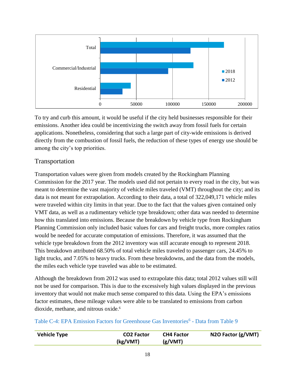

To try and curb this amount, it would be useful if the city held businesses responsible for their emissions. Another idea could be incentivizing the switch away from fossil fuels for certain applications. Nonetheless, considering that such a large part of city-wide emissions is derived directly from the combustion of fossil fuels, the reduction of these types of energy use should be among the city's top priorities.

# Transportation

Transportation values were given from models created by the Rockingham Planning Commission for the 2017 year. The models used did not pertain to every road in the city, but was meant to determine the vast majority of vehicle miles traveled (VMT) throughout the city; and its data is not meant for extrapolation. According to their data, a total of 322,049,171 vehicle miles were traveled within city limits in that year. Due to the fact that the values given contained only VMT data, as well as a rudimentary vehicle type breakdown; other data was needed to determine how this translated into emissions. Because the breakdown by vehicle type from Rockingham Planning Commission only included basic values for cars and freight trucks, more complex ratios would be needed for accurate computation of emissions. Therefore, it was assumed that the vehicle type breakdown from the 2012 inventory was still accurate enough to represent 2018. This breakdown attributed 68.50% of total vehicle miles traveled to passenger cars, 24.45% to light trucks, and 7.05% to heavy trucks. From these breakdowns, and the data from the models, the miles each vehicle type traveled was able to be estimated.

Although the breakdown from 2012 was used to extrapolate this data; total 2012 values still will not be used for comparison. This is due to the excessively high values displayed in the previous inventory that would not make much sense compared to this data. Using the EPA's emissions factor estimates, these mileage values were able to be translated to emissions from carbon dioxide, methane, and nitrous oxide. 6

Table C-4: EPA Emission Factors for Greenhouse Gas Inventories<sup>6</sup> - Data from Table 9

| <b>Vehicle Type</b> | <b>CO2 Factor</b> | <b>CH4 Factor</b> | N2O Factor (g/VMT) |
|---------------------|-------------------|-------------------|--------------------|
|                     | (kg/VMT)          | (g/VMT)           |                    |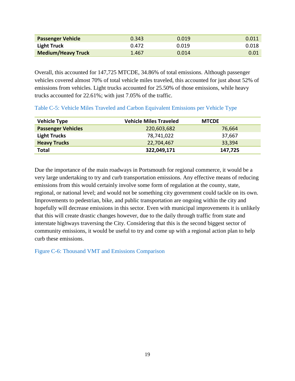| <b>Passenger Vehicle</b>  | 0.343 | 0.019 | 0.011 |
|---------------------------|-------|-------|-------|
| Light Truck               | 0.472 | 0.019 | 0.018 |
| <b>Medium/Heavy Truck</b> | 1.467 | 0.014 | 0.01  |

Overall, this accounted for 147,725 MTCDE, 34.86% of total emissions. Although passenger vehicles covered almost 70% of total vehicle miles traveled, this accounted for just about 52% of emissions from vehicles. Light trucks accounted for 25.50% of those emissions, while heavy trucks accounted for 22.61%; with just 7.05% of the traffic.

## Table C-5: Vehicle Miles Traveled and Carbon Equivalent Emissions per Vehicle Type

| <b>Vehicle Type</b>       | <b>Vehicle Miles Traveled</b> | <b>MTCDE</b> |
|---------------------------|-------------------------------|--------------|
| <b>Passenger Vehicles</b> | 220,603,682                   | 76,664       |
| <b>Light Trucks</b>       | 78,741,022                    | 37,667       |
| <b>Heavy Trucks</b>       | 22,704,467                    | 33,394       |
| <b>Total</b>              | 322,049,171                   | 147,725      |

Due the importance of the main roadways in Portsmouth for regional commerce, it would be a very large undertaking to try and curb transportation emissions. Any effective means of reducing emissions from this would certainly involve some form of regulation at the county, state, regional, or national level; and would not be something city government could tackle on its own. Improvements to pedestrian, bike, and public transportation are ongoing within the city and hopefully will decrease emissions in this sector. Even with municipal improvements it is unlikely that this will create drastic changes however, due to the daily through traffic from state and interstate highways traversing the City. Considering that this is the second biggest sector of community emissions, it would be useful to try and come up with a regional action plan to help curb these emissions.

Figure C-6: Thousand VMT and Emissions Comparison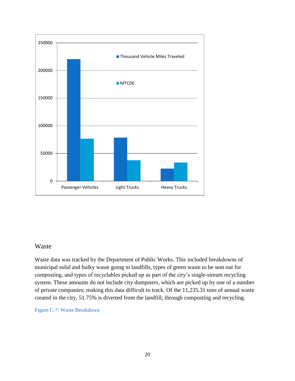

## Waste

Waste data was tracked by the Department of Public Works. This included breakdowns of municipal solid and bulky waste going to landfills, types of green waste to be sent out for composting, and types of recyclables picked up as part of the city's single-stream recycling system. These amounts do not include city dumpsters, which are picked up by one of a number of private companies; making this data difficult to track. Of the 11,235.31 tons of annual waste created in the city, 51.75% is diverted from the landfill; through composting and recycling.

Figure C-7: Waste Breakdown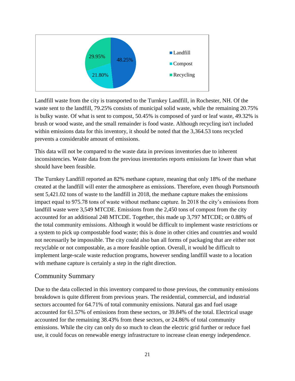

Landfill waste from the city is transported to the Turnkey Landfill, in Rochester, NH. Of the waste sent to the landfill, 79.25% consists of municipal solid waste, while the remaining 20.75% is bulky waste. Of what is sent to compost, 50.45% is composed of yard or leaf waste, 49.32% is brush or wood waste, and the small remainder is food waste. Although recycling isn't included within emissions data for this inventory, it should be noted that the 3,364.53 tons recycled prevents a considerable amount of emissions.

This data will not be compared to the waste data in previous inventories due to inherent inconsistencies. Waste data from the previous inventories reports emissions far lower than what should have been feasible.

The Turnkey Landfill reported an 82% methane capture, meaning that only 18% of the methane created at the landfill will enter the atmosphere as emissions. Therefore, even though Portsmouth sent 5,421.02 tons of waste to the landfill in 2018, the methane capture makes the emissions impact equal to 975.78 tons of waste without methane capture. In 2018 the city's emissions from landfill waste were 3,549 MTCDE. Emissions from the 2,450 tons of compost from the city accounted for an additional 248 MTCDE. Together, this made up 3,797 MTCDE; or 0.88% of the total community emissions. Although it would be difficult to implement waste restrictions or a system to pick up compostable food waste; this is done in other cities and countries and would not necessarily be impossible. The city could also ban all forms of packaging that are either not recyclable or not compostable, as a more feasible option. Overall, it would be difficult to implement large-scale waste reduction programs, however sending landfill waste to a location with methane capture is certainly a step in the right direction.

# Community Summary

Due to the data collected in this inventory compared to those previous, the community emissions breakdown is quite different from previous years. The residential, commercial, and industrial sectors accounted for 64.71% of total community emissions. Natural gas and fuel usage accounted for 61.57% of emissions from these sectors, or 39.84% of the total. Electrical usage accounted for the remaining 38.43% from these sectors, or 24.86% of total community emissions. While the city can only do so much to clean the electric grid further or reduce fuel use, it could focus on renewable energy infrastructure to increase clean energy independence.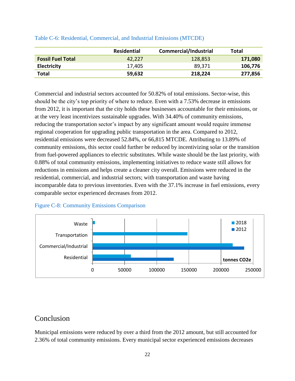|                          | Residential | <b>Commercial/Industrial</b> | Total   |
|--------------------------|-------------|------------------------------|---------|
| <b>Fossil Fuel Total</b> | 42.227      | 128,853                      | 171,080 |
| <b>Electricity</b>       | 17,405      | 89,371                       | 106,776 |
| <b>Total</b>             | 59,632      | 218,224                      | 277,856 |

### Table C-6: Residential, Commercial, and Industrial Emissions (MTCDE)

Commercial and industrial sectors accounted for 50.82% of total emissions. Sector-wise, this should be the city's top priority of where to reduce. Even with a 7.53% decrease in emissions from 2012, it is important that the city holds these businesses accountable for their emissions, or at the very least incentivizes sustainable upgrades. With 34.40% of community emissions, reducing the transportation sector's impact by any significant amount would require immense regional cooperation for upgrading public transportation in the area. Compared to 2012, residential emissions were decreased 52.84%, or 66,815 MTCDE. Attributing to 13.89% of community emissions, this sector could further be reduced by incentivizing solar or the transition from fuel-powered appliances to electric substitutes. While waste should be the last priority, with 0.88% of total community emissions, implementing initiatives to reduce waste still allows for reductions in emissions and helps create a cleaner city overall. Emissions were reduced in the residential, commercial, and industrial sectors; with transportation and waste having incomparable data to previous inventories. Even with the 37.1% increase in fuel emissions, every comparable sector experienced decreases from 2012.

## Figure C-8: Community Emissions Comparison



# Conclusion

Municipal emissions were reduced by over a third from the 2012 amount, but still accounted for 2.36% of total community emissions. Every municipal sector experienced emissions decreases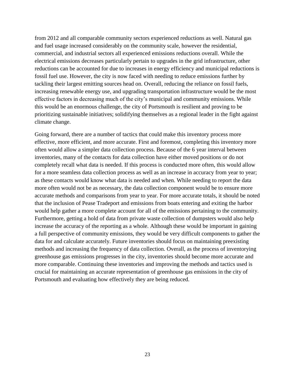from 2012 and all comparable community sectors experienced reductions as well. Natural gas and fuel usage increased considerably on the community scale, however the residential, commercial, and industrial sectors all experienced emissions reductions overall. While the electrical emissions decreases particularly pertain to upgrades in the grid infrastructure, other reductions can be accounted for due to increases in energy efficiency and municipal reductions is fossil fuel use. However, the city is now faced with needing to reduce emissions further by tackling their largest emitting sources head on. Overall, reducing the reliance on fossil fuels, increasing renewable energy use, and upgrading transportation infrastructure would be the most effective factors in decreasing much of the city's municipal and community emissions. While this would be an enormous challenge, the city of Portsmouth is resilient and proving to be prioritizing sustainable initiatives; solidifying themselves as a regional leader in the fight against climate change.

Going forward, there are a number of tactics that could make this inventory process more effective, more efficient, and more accurate. First and foremost, completing this inventory more often would allow a simpler data collection process. Because of the 6 year interval between inventories, many of the contacts for data collection have either moved positions or do not completely recall what data is needed. If this process is conducted more often, this would allow for a more seamless data collection process as well as an increase in accuracy from year to year; as these contacts would know what data is needed and when. While needing to report the data more often would not be as necessary, the data collection component would be to ensure more accurate methods and comparisons from year to year. For more accurate totals, it should be noted that the inclusion of Pease Tradeport and emissions from boats entering and exiting the harbor would help gather a more complete account for all of the emissions pertaining to the community. Furthermore, getting a hold of data from private waste collection of dumpsters would also help increase the accuracy of the reporting as a whole. Although these would be important in gaining a full perspective of community emissions, they would be very difficult components to gather the data for and calculate accurately. Future inventories should focus on maintaining preexisting methods and increasing the frequency of data collection. Overall, as the process of inventorying greenhouse gas emissions progresses in the city, inventories should become more accurate and more comparable. Continuing these inventories and improving the methods and tactics used is crucial for maintaining an accurate representation of greenhouse gas emissions in the city of Portsmouth and evaluating how effectively they are being reduced.